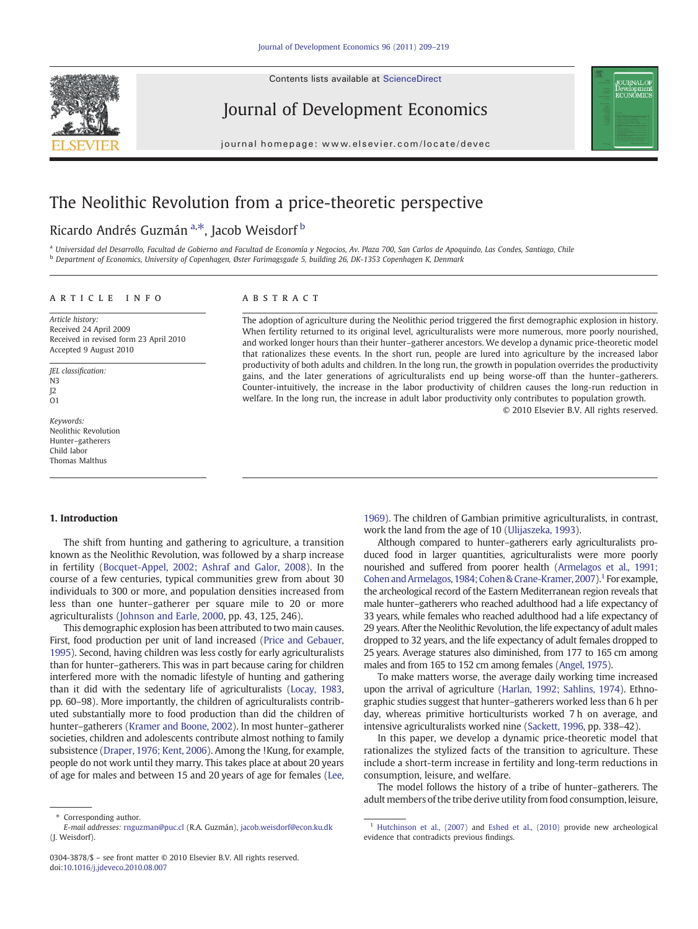Contents lists available at [ScienceDirect](http://www.sciencedirect.com/science/journal/03043878)



Journal of Development Economics

journal homepage: www.elsevier.com/locate/devec

# The Neolithic Revolution from a price-theoretic perspective

## Ricardo Andrés Guzmán <sup>a,\*</sup>, Jacob Weisdorf <sup>b</sup>

<sup>a</sup> Universidad del Desarrollo, Facultad de Gobierno and Facultad de Economía y Negocios, Av. Plaza 700, San Carlos de Apoquindo, Las Condes, Santiago, Chile <sup>b</sup> Department of Economics, University of Copenhagen, Øster Farimagsgade 5, building 26, DK-1353 Copenhagen K, Denmark

#### article info abstract

Article history: Received 24 April 2009 Received in revised form 23 April 2010 Accepted 9 August 2010

JEL classification:  $N<sub>3</sub>$  $12$  $\Omega$ 

Keywords: Neolithic Revolution Hunter–gatherers Child labor Thomas Malthus

The adoption of agriculture during the Neolithic period triggered the first demographic explosion in history. When fertility returned to its original level, agriculturalists were more numerous, more poorly nourished, and worked longer hours than their hunter–gatherer ancestors. We develop a dynamic price-theoretic model that rationalizes these events. In the short run, people are lured into agriculture by the increased labor productivity of both adults and children. In the long run, the growth in population overrides the productivity gains, and the later generations of agriculturalists end up being worse-off than the hunter–gatherers. Counter-intuitively, the increase in the labor productivity of children causes the long-run reduction in welfare. In the long run, the increase in adult labor productivity only contributes to population growth. © 2010 Elsevier B.V. All rights reserved.

#### 1. Introduction

The shift from hunting and gathering to agriculture, a transition known as the Neolithic Revolution, was followed by a sharp increase in fertility [\(Bocquet-Appel, 2002; Ashraf and Galor, 2008](#page-9-0)). In the course of a few centuries, typical communities grew from about 30 individuals to 300 or more, and population densities increased from less than one hunter–gatherer per square mile to 20 or more agriculturalists ([Johnson and Earle, 2000,](#page-9-0) pp. 43, 125, 246).

This demographic explosion has been attributed to two main causes. First, food production per unit of land increased [\(Price and Gebauer,](#page-9-0) [1995](#page-9-0)). Second, having children was less costly for early agriculturalists than for hunter–gatherers. This was in part because caring for children interfered more with the nomadic lifestyle of hunting and gathering than it did with the sedentary life of agriculturalists [\(Locay, 1983,](#page-9-0) pp. 60–98). More importantly, the children of agriculturalists contributed substantially more to food production than did the children of hunter–gatherers [\(Kramer and Boone, 2002](#page-9-0)). In most hunter–gatherer societies, children and adolescents contribute almost nothing to family subsistence [\(Draper, 1976; Kent, 2006\)](#page-9-0). Among the !Kung, for example, people do not work until they marry. This takes place at about 20 years of age for males and between 15 and 20 years of age for females ([Lee,](#page-9-0)

[1969](#page-9-0)). The children of Gambian primitive agriculturalists, in contrast, work the land from the age of 10 ([Ulijaszeka, 1993](#page-10-0)).

**OURNAL OF** Jevelopmen<br>:CONOMICS

Although compared to hunter–gatherers early agriculturalists produced food in larger quantities, agriculturalists were more poorly nourished and suffered from poorer health [\(Armelagos et al., 1991;](#page-9-0) [Cohen and Armelagos, 1984; Cohen & Crane-Kramer, 2007](#page-9-0)).<sup>1</sup> For example, the archeological record of the Eastern Mediterranean region reveals that male hunter–gatherers who reached adulthood had a life expectancy of 33 years, while females who reached adulthood had a life expectancy of 29 years. After the Neolithic Revolution, the life expectancy of adult males dropped to 32 years, and the life expectancy of adult females dropped to 25 years. Average statures also diminished, from 177 to 165 cm among males and from 165 to 152 cm among females [\(Angel, 1975](#page-9-0)).

To make matters worse, the average daily working time increased upon the arrival of agriculture [\(Harlan, 1992; Sahlins, 1974](#page-9-0)). Ethnographic studies suggest that hunter–gatherers worked less than 6 h per day, whereas primitive horticulturists worked 7 h on average, and intensive agriculturalists worked nine [\(Sackett, 1996,](#page-10-0) pp. 338–42).

In this paper, we develop a dynamic price-theoretic model that rationalizes the stylized facts of the transition to agriculture. These include a short-term increase in fertility and long-term reductions in consumption, leisure, and welfare.

The model follows the history of a tribe of hunter–gatherers. The adult members of the tribe derive utility from food consumption, leisure,

Corresponding author.

E-mail addresses: [rnguzman@puc.cl](mailto:rnguzman@puc.cl) (R.A. Guzmán), [jacob.weisdorf@econ.ku.dk](mailto:jacob.weisdorf@econ.ku.dk) (J. Weisdorf).

<sup>0304-3878/\$</sup> – see front matter © 2010 Elsevier B.V. All rights reserved. doi:[10.1016/j.jdeveco.2010.08.007](http://dx.doi.org/10.1016/j.jdeveco.2010.08.007)

<sup>&</sup>lt;sup>1</sup> [Hutchinson et al., \(2007\)](#page-9-0) and [Eshed et al., \(2010\)](#page-9-0) provide new archeological evidence that contradicts previous findings.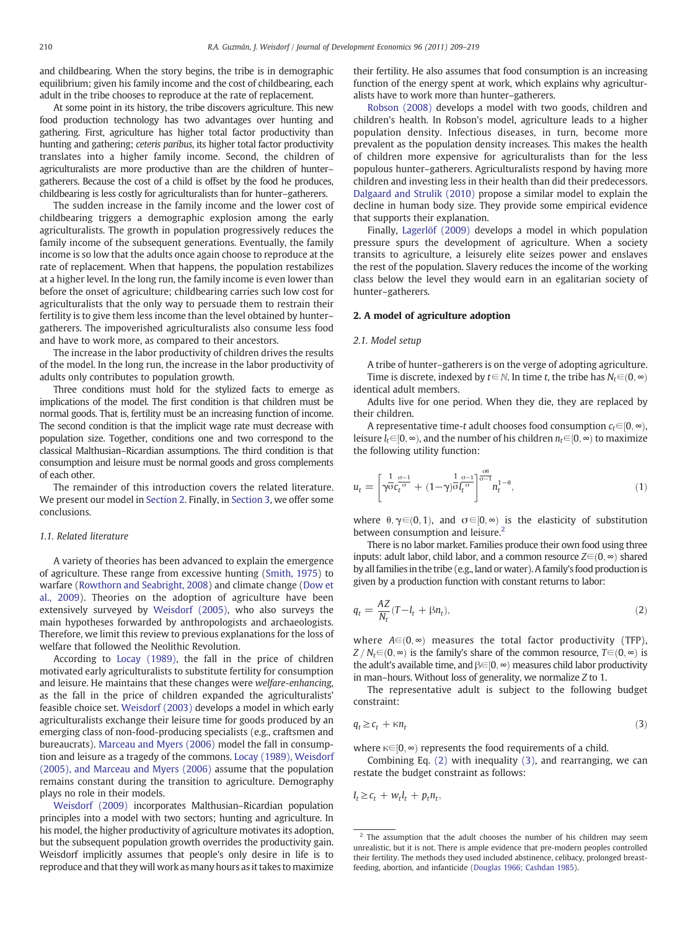and childbearing. When the story begins, the tribe is in demographic equilibrium; given his family income and the cost of childbearing, each adult in the tribe chooses to reproduce at the rate of replacement.

At some point in its history, the tribe discovers agriculture. This new food production technology has two advantages over hunting and gathering. First, agriculture has higher total factor productivity than hunting and gathering; ceteris paribus, its higher total factor productivity translates into a higher family income. Second, the children of agriculturalists are more productive than are the children of hunter– gatherers. Because the cost of a child is offset by the food he produces, childbearing is less costly for agriculturalists than for hunter–gatherers.

The sudden increase in the family income and the lower cost of childbearing triggers a demographic explosion among the early agriculturalists. The growth in population progressively reduces the family income of the subsequent generations. Eventually, the family income is so low that the adults once again choose to reproduce at the rate of replacement. When that happens, the population restabilizes at a higher level. In the long run, the family income is even lower than before the onset of agriculture; childbearing carries such low cost for agriculturalists that the only way to persuade them to restrain their fertility is to give them less income than the level obtained by hunter– gatherers. The impoverished agriculturalists also consume less food and have to work more, as compared to their ancestors.

The increase in the labor productivity of children drives the results of the model. In the long run, the increase in the labor productivity of adults only contributes to population growth.

Three conditions must hold for the stylized facts to emerge as implications of the model. The first condition is that children must be normal goods. That is, fertility must be an increasing function of income. The second condition is that the implicit wage rate must decrease with population size. Together, conditions one and two correspond to the classical Malthusian–Ricardian assumptions. The third condition is that consumption and leisure must be normal goods and gross complements of each other.

The remainder of this introduction covers the related literature. We present our model in Section 2. Finally, in [Section 3](#page-6-0), we offer some conclusions.

#### 1.1. Related literature

A variety of theories has been advanced to explain the emergence of agriculture. These range from excessive hunting ([Smith, 1975](#page-10-0)) to warfare [\(Rowthorn and Seabright, 2008\)](#page-10-0) and climate change ([Dow et](#page-9-0) [al., 2009\)](#page-9-0). Theories on the adoption of agriculture have been extensively surveyed by [Weisdorf \(2005\)](#page-10-0), who also surveys the main hypotheses forwarded by anthropologists and archaeologists. Therefore, we limit this review to previous explanations for the loss of welfare that followed the Neolithic Revolution.

According to [Locay \(1989\)](#page-9-0), the fall in the price of children motivated early agriculturalists to substitute fertility for consumption and leisure. He maintains that these changes were welfare-enhancing, as the fall in the price of children expanded the agriculturalists' feasible choice set. [Weisdorf \(2003\)](#page-10-0) develops a model in which early agriculturalists exchange their leisure time for goods produced by an emerging class of non-food-producing specialists (e.g., craftsmen and bureaucrats). [Marceau and Myers \(2006\)](#page-9-0) model the fall in consumption and leisure as a tragedy of the commons. [Locay \(1989\), Weisdorf](#page-9-0) [\(2005\), and Marceau and Myers \(2006\)](#page-9-0) assume that the population remains constant during the transition to agriculture. Demography plays no role in their models.

[Weisdorf \(2009\)](#page-10-0) incorporates Malthusian–Ricardian population principles into a model with two sectors; hunting and agriculture. In his model, the higher productivity of agriculture motivates its adoption, but the subsequent population growth overrides the productivity gain. Weisdorf implicitly assumes that people's only desire in life is to reproduce and that they will work as many hours as it takes to maximize their fertility. He also assumes that food consumption is an increasing function of the energy spent at work, which explains why agriculturalists have to work more than hunter–gatherers.

[Robson \(2008\)](#page-9-0) develops a model with two goods, children and children's health. In Robson's model, agriculture leads to a higher population density. Infectious diseases, in turn, become more prevalent as the population density increases. This makes the health of children more expensive for agriculturalists than for the less populous hunter–gatherers. Agriculturalists respond by having more children and investing less in their health than did their predecessors. [Dalgaard and Strulik \(2010\)](#page-9-0) propose a similar model to explain the decline in human body size. They provide some empirical evidence that supports their explanation.

Finally, [Lagerlöf \(2009\)](#page-9-0) develops a model in which population pressure spurs the development of agriculture. When a society transits to agriculture, a leisurely elite seizes power and enslaves the rest of the population. Slavery reduces the income of the working class below the level they would earn in an egalitarian society of hunter–gatherers.

#### 2. A model of agriculture adoption

#### 2.1. Model setup

A tribe of hunter–gatherers is on the verge of adopting agriculture. Time is discrete, indexed by  $t \in \mathbb{N}$ . In time t, the tribe has  $N_t \in (0, \infty)$ identical adult members.

Adults live for one period. When they die, they are replaced by their children.

A representative time-t adult chooses food consumption  $c_t \in [0, \infty)$ , leisure  $l_t ∈ [0, ∞)$ , and the number of his children  $n_t ∈ [0, ∞)$  to maximize the following utility function:

$$
u_t = \left[\gamma \overline{\sigma} \overline{c_t^{\sigma}} + (1 - \gamma) \overline{\sigma} \overline{l_t^{\sigma}} \right]^{\frac{\sigma}{\sigma-1}} n_t^{1-\theta}, \tag{1}
$$

where  $\theta$ ,  $\gamma \in (0, 1)$ , and  $\sigma \in [0, \infty)$  is the elasticity of substitution between consumption and leisure.<sup>2</sup>

There is no labor market. Families produce their own food using three inputs: adult labor, child labor, and a common resource  $Z \in (0, \infty)$  shared by all families in the tribe (e.g., land or water). A family's food production is given by a production function with constant returns to labor:

$$
q_t = \frac{AZ}{N_t}(T - l_t + \beta n_t),\tag{2}
$$

where  $A \in (0, \infty)$  measures the total factor productivity (TFP),  $Z/N_t \in (0, \infty)$  is the family's share of the common resource,  $T \in (0, \infty)$  is the adult's available time, and  $\beta \in [0, \infty)$  measures child labor productivity in man–hours. Without loss of generality, we normalize Z to 1.

The representative adult is subject to the following budget constraint:

$$
q_t \ge c_t + \kappa n_t \tag{3}
$$

where  $\kappa \in [0, \infty)$  represents the food requirements of a child.

Combining Eq. (2) with inequality (3), and rearranging, we can restate the budget constraint as follows:

 $I_t \geq c_t + w_t l_t + p_t n_t$ 

 $2$  The assumption that the adult chooses the number of his children may seem unrealistic, but it is not. There is ample evidence that pre-modern peoples controlled their fertility. The methods they used included abstinence, celibacy, prolonged breastfeeding, abortion, and infanticide [\(Douglas 1966; Cashdan 1985\)](#page-9-0).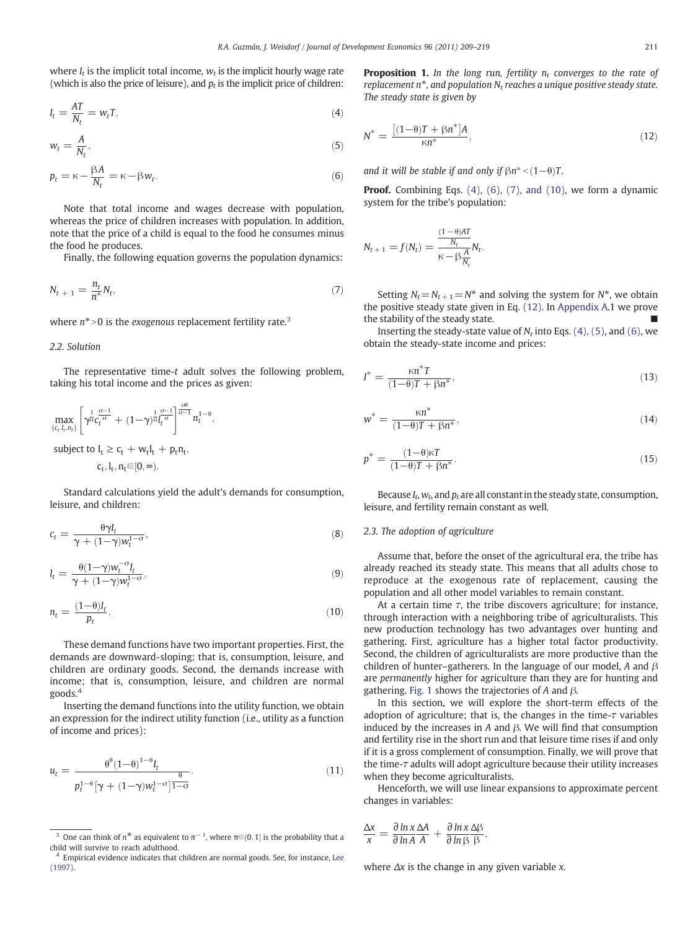where  $I_t$  is the implicit total income,  $W_t$  is the implicit hourly wage rate (which is also the price of leisure), and  $p_t$  is the implicit price of children:

$$
I_t = \frac{AT}{N_t} = w_t T,\tag{4}
$$

$$
w_t = \frac{A}{N_t},\tag{5}
$$

$$
p_t = \kappa - \frac{\beta A}{N_t} = \kappa - \beta w_t.
$$
\n<sup>(6)</sup>

Note that total income and wages decrease with population, whereas the price of children increases with population. In addition, note that the price of a child is equal to the food he consumes minus the food he produces.

Finally, the following equation governs the population dynamics:

$$
N_{t+1} = \frac{n_t}{n^*} N_t, \tag{7}
$$

where  $n^*$  > 0 is the *exogenous* replacement fertility rate.<sup>3</sup>

#### 2.2. Solution

The representative time-t adult solves the following problem, taking his total income and the prices as given:

$$
\max_{\{c_t, l_t, n_t\}} \left[ \gamma^{\frac{1}{\sigma}} c_t^{\frac{\sigma-1}{\sigma}} + (1-\gamma)^{\frac{1}{\sigma}} l_t^{\frac{\sigma-1}{\sigma}} \right]^{\frac{\sigma\theta}{\sigma-1}} n_t^{1-\theta},
$$

subject to  $I_t \geq c_t + w_t I_t + p_t n_t$ ,

$$
c_t, l_t, n_t{\in}[0,\infty).
$$

Standard calculations yield the adult's demands for consumption, leisure, and children:

$$
c_t = \frac{\theta \gamma I_t}{\gamma + (1 - \gamma) w_t^{1 - \sigma}},\tag{8}
$$

$$
l_t = \frac{\theta(1-\gamma)w_t^{-\sigma}I_t}{\gamma + (1-\gamma)w_t^{1-\sigma}},
$$
\n(9)

$$
n_t = \frac{(1-\theta)I_t}{p_t}.\tag{10}
$$

These demand functions have two important properties. First, the demands are downward-sloping; that is, consumption, leisure, and children are ordinary goods. Second, the demands increase with income; that is, consumption, leisure, and children are normal goods.<sup>4</sup>

Inserting the demand functions into the utility function, we obtain an expression for the indirect utility function (i.e., utility as a function of income and prices):

$$
u_t = \frac{\theta^{\theta} (1-\theta)^{1-\theta} I_t}{p_t^{1-\theta} [\gamma + (1-\gamma) w_t^{1-\sigma}]^{\frac{\theta}{1-\sigma}}}.
$$
\n(11)

**Proposition 1.** In the long run, fertility  $n_t$  converges to the rate of replacement  $n^*$ , and population  $N_t$  reaches a unique positive steady state. The steady state is given by

$$
N^* = \frac{\left[ (1 - \theta)T + \beta n^* \right] A}{\kappa n^*},\tag{12}
$$

and it will be stable if and only if  $\beta n^* < (1-\theta)T$ .

Proof. Combining Eqs. (4), (6), (7), and (10), we form a dynamic system for the tribe's population:

$$
N_{t+1} = f(N_t) = \frac{\frac{(1-\theta)AT}{N_t}}{\kappa - \beta \frac{A}{N_t}} N_t.
$$

Setting  $N_t = N_{t+1} = N^*$  and solving the system for  $N^*$ , we obtain the positive steady state given in Eq. (12). In [Appendix A.](#page-6-0)1 we prove the stability of the steady state.

Inserting the steady-state value of  $N_t$  into Eqs. (4), (5), and (6), we obtain the steady-state income and prices:

$$
I^* = \frac{\kappa n^* T}{(1 - \theta)T + \beta n^*},\tag{13}
$$

$$
w^* = \frac{\kappa n^*}{(1-\theta)T + \beta n^*},\tag{14}
$$

$$
p^* = \frac{(1-\theta)\kappa T}{(1-\theta)T + \beta n^*}.
$$
\n(15)

Because  $I_t$ ,  $w_t$ , and  $p_t$  are all constant in the steady state, consumption, leisure, and fertility remain constant as well.

#### 2.3. The adoption of agriculture

Assume that, before the onset of the agricultural era, the tribe has already reached its steady state. This means that all adults chose to reproduce at the exogenous rate of replacement, causing the population and all other model variables to remain constant.

At a certain time  $\tau$ , the tribe discovers agriculture; for instance, through interaction with a neighboring tribe of agriculturalists. This new production technology has two advantages over hunting and gathering. First, agriculture has a higher total factor productivity. Second, the children of agriculturalists are more productive than the children of hunter–gatherers. In the language of our model, A and  $\beta$ are permanently higher for agriculture than they are for hunting and gathering. [Fig. 1](#page-3-0) shows the trajectories of A and  $\beta$ .

In this section, we will explore the short-term effects of the adoption of agriculture; that is, the changes in the time- $\tau$  variables induced by the increases in A and β. We will find that consumption and fertility rise in the short run and that leisure time rises if and only if it is a gross complement of consumption. Finally, we will prove that the time-τ adults will adopt agriculture because their utility increases when they become agriculturalists.

Henceforth, we will use linear expansions to approximate percent changes in variables:

$$
\frac{\Delta x}{x} = \frac{\partial \ln x}{\partial \ln A} \frac{\Delta A}{A} + \frac{\partial \ln x}{\partial \ln \beta} \frac{\Delta \beta}{\beta},
$$

where  $\Delta x$  is the change in any given variable x.

<sup>&</sup>lt;sup>3</sup> One can think of  $n^*$  as equivalent to  $\pi^{-1}$ , where  $\pi \in (0, 1]$  is the probability that a vill survive to reach adulthood child will survive to reach adulthood.

<sup>&</sup>lt;sup>4</sup> Empirical evidence indicates that children are normal goods. See, for instance, [Lee](#page-9-0) [\(1997\).](#page-9-0)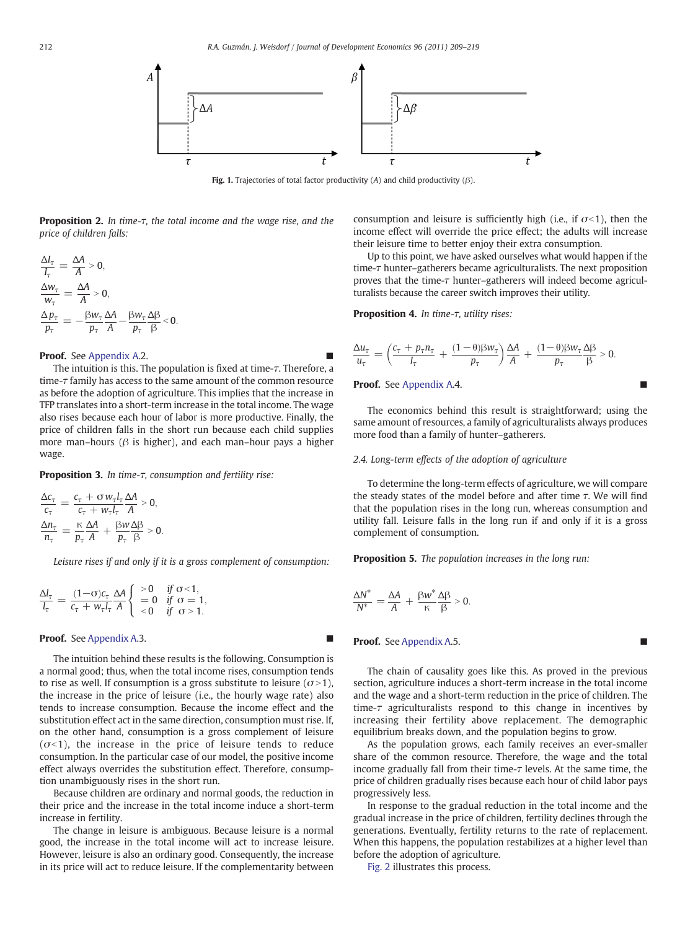<span id="page-3-0"></span>

Fig. 1. Trajectories of total factor productivity (A) and child productivity ( $\beta$ ).

Proposition 2. In time-τ, the total income and the wage rise, and the price of children falls:

$$
\frac{\Delta l_{\tau}}{l_{\tau}} = \frac{\Delta A}{A} > 0,
$$
  
\n
$$
\frac{\Delta w_{\tau}}{w_{\tau}} = \frac{\Delta A}{A} > 0,
$$
  
\n
$$
\frac{\Delta p_{\tau}}{p_{\tau}} = -\frac{\beta w_{\tau}}{p_{\tau}} \frac{\Delta A}{A} - \frac{\beta w_{\tau}}{p_{\tau}} \frac{\Delta \beta}{\beta} < 0.
$$

#### Proof. See [Appendix A](#page-6-0).2.

The intuition is this. The population is fixed at time-τ. Therefore, a time-τ family has access to the same amount of the common resource as before the adoption of agriculture. This implies that the increase in TFP translates into a short-term increase in the total income. The wage also rises because each hour of labor is more productive. Finally, the price of children falls in the short run because each child supplies more man–hours ( $\beta$  is higher), and each man–hour pays a higher wage.

Proposition 3. In time-τ, consumption and fertility rise:

$$
\frac{\Delta c_{\tau}}{c_{\tau}} = \frac{c_{\tau} + \sigma w_{\tau} l_{\tau}}{c_{\tau} + w_{\tau} l_{\tau}} \frac{\Delta A}{A} > 0,
$$
  

$$
\frac{\Delta n_{\tau}}{n_{\tau}} = \frac{\kappa}{p_{\tau}} \frac{\Delta A}{A} + \frac{\beta w}{p_{\tau}} \frac{\Delta \beta}{\beta} > 0.
$$

Leisure rises if and only if it is a gross complement of consumption:

$$
\frac{\Delta l_{\tau}}{l_{\tau}} = \frac{(1-\sigma)c_{\tau}}{c_{\tau} + w_{\tau}l_{\tau}} \frac{\Delta A}{A} \begin{cases} > 0 & \text{if } \sigma < 1, \\ =0 & \text{if } \sigma = 1, \\ < 0 & \text{if } \sigma > 1. \end{cases}
$$

#### Proof. See [Appendix A.](#page-6-0)3.

The intuition behind these results is the following. Consumption is a normal good; thus, when the total income rises, consumption tends to rise as well. If consumption is a gross substitute to leisure  $(\sigma > 1)$ , the increase in the price of leisure (i.e., the hourly wage rate) also tends to increase consumption. Because the income effect and the substitution effect act in the same direction, consumption must rise. If, on the other hand, consumption is a gross complement of leisure  $(\sigma$ <1), the increase in the price of leisure tends to reduce consumption. In the particular case of our model, the positive income effect always overrides the substitution effect. Therefore, consumption unambiguously rises in the short run.

Because children are ordinary and normal goods, the reduction in their price and the increase in the total income induce a short-term increase in fertility.

The change in leisure is ambiguous. Because leisure is a normal good, the increase in the total income will act to increase leisure. However, leisure is also an ordinary good. Consequently, the increase in its price will act to reduce leisure. If the complementarity between consumption and leisure is sufficiently high (i.e., if  $\sigma$  < 1), then the income effect will override the price effect; the adults will increase their leisure time to better enjoy their extra consumption.

Up to this point, we have asked ourselves what would happen if the time-τ hunter–gatherers became agriculturalists. The next proposition proves that the time-τ hunter–gatherers will indeed become agriculturalists because the career switch improves their utility.

Proposition 4. In time-τ, utility rises:

$$
\frac{\Delta u_{\tau}}{u_{\tau}} = \left(\frac{c_{\tau} + p_{\tau}n_{\tau}}{l_{\tau}} + \frac{(1-\theta)\beta w_{\tau}}{p_{\tau}}\right)\frac{\Delta A}{A} + \frac{(1-\theta)\beta w_{\tau}}{p_{\tau}}\frac{\Delta \beta}{\beta} > 0.
$$

Proof. See [Appendix A](#page-6-0).4.

The economics behind this result is straightforward; using the same amount of resources, a family of agriculturalists always produces more food than a family of hunter–gatherers.

#### 2.4. Long-term effects of the adoption of agriculture

To determine the long-term effects of agriculture, we will compare the steady states of the model before and after time  $\tau$ . We will find that the population rises in the long run, whereas consumption and utility fall. Leisure falls in the long run if and only if it is a gross complement of consumption.

Proposition 5. The population increases in the long run:

$$
\frac{\Delta N^*}{N^*} = \frac{\Delta A}{A} + \frac{\beta w^*}{\kappa} \frac{\Delta \beta}{\beta} > 0.
$$

#### Proof. See [Appendix A.](#page-6-0)5.

The chain of causality goes like this. As proved in the previous section, agriculture induces a short-term increase in the total income and the wage and a short-term reduction in the price of children. The time- $\tau$  agriculturalists respond to this change in incentives by increasing their fertility above replacement. The demographic equilibrium breaks down, and the population begins to grow.

As the population grows, each family receives an ever-smaller share of the common resource. Therefore, the wage and the total income gradually fall from their time-τ levels. At the same time, the price of children gradually rises because each hour of child labor pays progressively less.

In response to the gradual reduction in the total income and the gradual increase in the price of children, fertility declines through the generations. Eventually, fertility returns to the rate of replacement. When this happens, the population restabilizes at a higher level than before the adoption of agriculture.

[Fig. 2](#page-4-0) illustrates this process.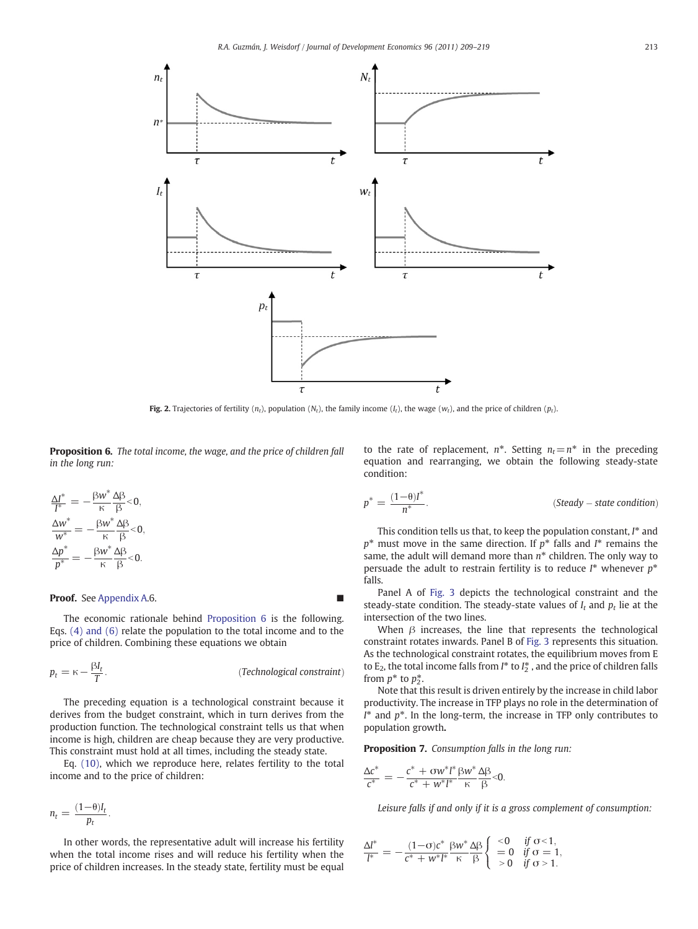<span id="page-4-0"></span>

Fig. 2. Trajectories of fertility  $(n_t)$ , population  $(N_t)$ , the family income  $(I_t)$ , the wage  $(w_t)$ , and the price of children  $(p_t)$ .

Proposition 6. The total income, the wage, and the price of children fall in the long run:

$$
\frac{\Delta I^*}{I^*} = -\frac{\beta w^*}{\kappa} \frac{\Delta \beta}{\beta} < 0, \n\frac{\Delta w^*}{w^*} = -\frac{\beta w^*}{\kappa} \frac{\Delta \beta}{\beta} < 0, \n\frac{\Delta p^*}{p^*} = -\frac{\beta w^*}{\kappa} \frac{\Delta \beta}{\beta} < 0.
$$

#### Proof. See [Appendix A.](#page-6-0)6.

The economic rationale behind Proposition 6 is the following. Eqs. (4) and (6) relate the population to the total income and to the price of children. Combining these equations we obtain

$$
p_t = \kappa - \frac{\beta I_t}{T}.
$$
 (Technological constraint)

The preceding equation is a technological constraint because it derives from the budget constraint, which in turn derives from the production function. The technological constraint tells us that when income is high, children are cheap because they are very productive. This constraint must hold at all times, including the steady state.

Eq. (10), which we reproduce here, relates fertility to the total income and to the price of children:

$$
n_t = \frac{(1-\theta)I_t}{p_t}.
$$

In other words, the representative adult will increase his fertility when the total income rises and will reduce his fertility when the price of children increases. In the steady state, fertility must be equal to the rate of replacement,  $n^*$ . Setting  $n_t=n^*$  in the preceding equation and rearranging, we obtain the following steady-state condition:

$$
p^* = \frac{(1-\theta)I^*}{n^*}.
$$
 (Steady – state condition)

This condition tells us that, to keep the population constant,  $I^*$  and  $p^*$  must move in the same direction. If  $p^*$  falls and  $I^*$  remains the same, the adult will demand more than  $n^*$  children. The only way to persuade the adult to restrain fertility is to reduce  $I^*$  whenever  $p^*$ falls.

Panel A of [Fig. 3](#page-5-0) depicts the technological constraint and the steady-state condition. The steady-state values of  $I_t$  and  $p_t$  lie at the intersection of the two lines.

When  $\beta$  increases, the line that represents the technological constraint rotates inwards. Panel B of [Fig. 3](#page-5-0) represents this situation. As the technological constraint rotates, the equilibrium moves from E to  $E_2$ , the total income falls from  $I^*$  to  $I_2^*$ , and the price of children falls from  $p^*$  to  $p^*$ .

Note that this result is driven entirely by the increase in child labor productivity. The increase in TFP plays no role in the determination of  $I^*$  and  $p^*$ . In the long-term, the increase in TFP only contributes to population growth.

Proposition 7. Consumption falls in the long run:

$$
\frac{\Delta c^*}{c^*} = -\frac{c^* + \sigma w^* l^*}{c^* + w^* l^*} \frac{\beta w^*}{\kappa} \frac{\Delta \beta}{\beta} < 0.
$$

Leisure falls if and only if it is a gross complement of consumption:

$$
\frac{\Delta l^*}{l^*}=-\frac{(1\!-\!\sigma)c^*}{c^*+w^*l^*}\frac{\beta w^*}{\kappa}\frac{\Delta\beta}{\beta}\left\{\begin{array}{ll} <0& \text{if } \sigma\!<\!1,\\ =0& \text{if } \sigma=1,\\ >0& \text{if } \sigma>1.\end{array}\right.
$$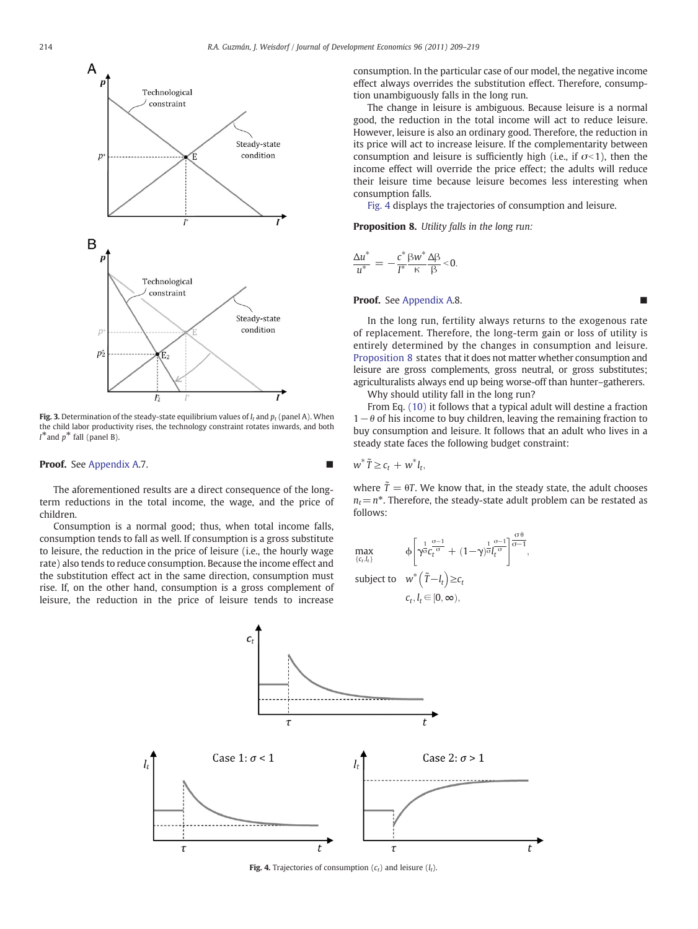<span id="page-5-0"></span>

Fig. 3. Determination of the steady-state equilibrium values of  $I_t$  and  $p_t$  (panel A). When the child labor productivity rises, the technology constraint rotates inwards, and both  $I^*$  and  $p^*$  fall (panel B).

#### **Proof.** See [Appendix A](#page-6-0).7.

The aforementioned results are a direct consequence of the longterm reductions in the total income, the wage, and the price of children.

Consumption is a normal good; thus, when total income falls, consumption tends to fall as well. If consumption is a gross substitute to leisure, the reduction in the price of leisure (i.e., the hourly wage rate) also tends to reduce consumption. Because the income effect and the substitution effect act in the same direction, consumption must rise. If, on the other hand, consumption is a gross complement of leisure, the reduction in the price of leisure tends to increase consumption. In the particular case of our model, the negative income effect always overrides the substitution effect. Therefore, consumption unambiguously falls in the long run.

The change in leisure is ambiguous. Because leisure is a normal good, the reduction in the total income will act to reduce leisure. However, leisure is also an ordinary good. Therefore, the reduction in its price will act to increase leisure. If the complementarity between consumption and leisure is sufficiently high (i.e., if  $\sigma$ <1), then the income effect will override the price effect; the adults will reduce their leisure time because leisure becomes less interesting when consumption falls.

Fig. 4 displays the trajectories of consumption and leisure.

Proposition 8. Utility falls in the long run:

$$
\frac{\Delta u^*}{u^*} = -\frac{c^*}{I^*} \frac{\beta w^*}{\kappa} \frac{\Delta \beta}{\beta} < 0.
$$

#### Proof. See [Appendix A](#page-6-0).8.

In the long run, fertility always returns to the exogenous rate of replacement. Therefore, the long-term gain or loss of utility is entirely determined by the changes in consumption and leisure. Proposition 8 states that it does not matter whether consumption and leisure are gross complements, gross neutral, or gross substitutes; agriculturalists always end up being worse-off than hunter–gatherers.

Why should utility fall in the long run?

From Eq. (10) it follows that a typical adult will destine a fraction  $1-\theta$  of his income to buy children, leaving the remaining fraction to buy consumption and leisure. It follows that an adult who lives in a steady state faces the following budget constraint:

$$
w^* \tilde{T} \geq c_t + w^* l_t,
$$

where  $\tilde{T} = \theta T$ . We know that, in the steady state, the adult chooses  $n_t=n^*$ . Therefore, the steady-state adult problem can be restated as follows:





Fig. 4. Trajectories of consumption  $(c_t)$  and leisure  $(l_t)$ .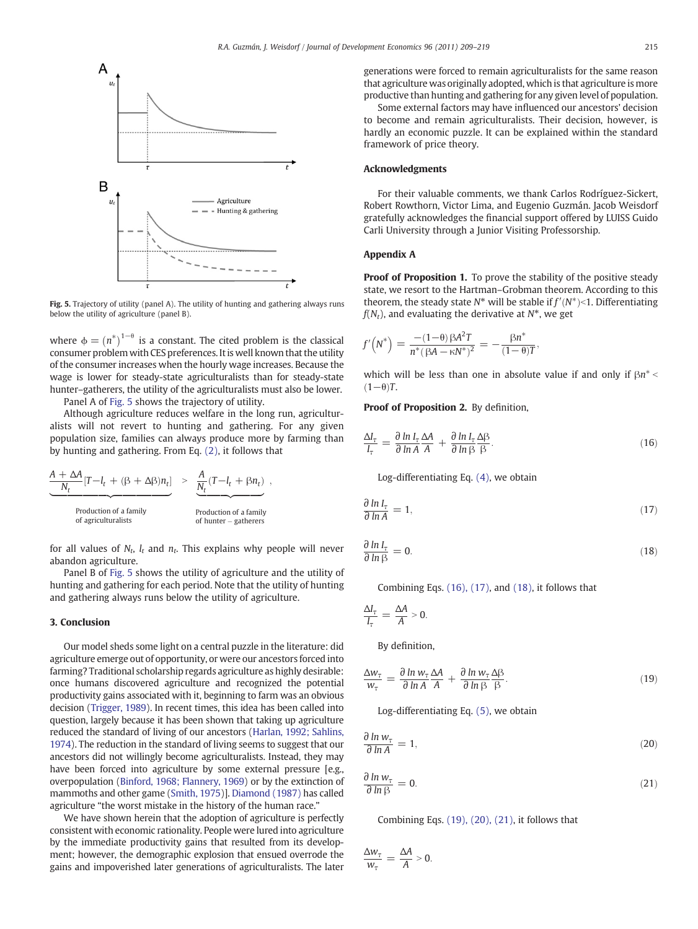<span id="page-6-0"></span>

Fig. 5. Trajectory of utility (panel A). The utility of hunting and gathering always runs below the utility of agriculture (panel B).

where  $\phi = (n^*)^{1-\theta}$  is a constant. The cited problem is the classical consumer problem with CES preferences. It is well known that the utility of the consumer increases when the hourly wage increases. Because the wage is lower for steady-state agriculturalists than for steady-state hunter–gatherers, the utility of the agriculturalists must also be lower.

Panel A of Fig. 5 shows the trajectory of utility.

Although agriculture reduces welfare in the long run, agriculturalists will not revert to hunting and gathering. For any given population size, families can always produce more by farming than by hunting and gathering. From Eq. (2), it follows that

$$
\frac{A + \Delta A}{N_t} [T - I_t + (\beta + \Delta \beta) n_t] > \underbrace{\frac{A}{N_t} (T - I_t + \beta n_t)}_{\text{Production of a family of agriculturalists}} ,
$$
\n
$$
\underbrace{\frac{A}{N_t} (T - I_t + \beta n_t)}_{\text{Production of a family of hundred-gatherers}} ,
$$

for all values of  $N_t$ ,  $l_t$  and  $n_t$ . This explains why people will never abandon agriculture.

Panel B of Fig. 5 shows the utility of agriculture and the utility of hunting and gathering for each period. Note that the utility of hunting and gathering always runs below the utility of agriculture.

#### 3. Conclusion

Our model sheds some light on a central puzzle in the literature: did agriculture emerge out of opportunity, or were our ancestors forced into farming? Traditional scholarship regards agriculture as highly desirable: once humans discovered agriculture and recognized the potential productivity gains associated with it, beginning to farm was an obvious decision ([Trigger, 1989\)](#page-10-0). In recent times, this idea has been called into question, largely because it has been shown that taking up agriculture reduced the standard of living of our ancestors ([Harlan, 1992; Sahlins,](#page-9-0) [1974](#page-9-0)). The reduction in the standard of living seems to suggest that our ancestors did not willingly become agriculturalists. Instead, they may have been forced into agriculture by some external pressure [e.g., overpopulation ([Binford, 1968; Flannery, 1969](#page-9-0)) or by the extinction of mammoths and other game ([Smith, 1975](#page-10-0))]. [Diamond \(1987\)](#page-9-0) has called agriculture "the worst mistake in the history of the human race."

We have shown herein that the adoption of agriculture is perfectly consistent with economic rationality. People were lured into agriculture by the immediate productivity gains that resulted from its development; however, the demographic explosion that ensued overrode the gains and impoverished later generations of agriculturalists. The later generations were forced to remain agriculturalists for the same reason that agriculture was originally adopted, which is that agriculture is more productive than hunting and gathering for any given level of population.

Some external factors may have influenced our ancestors' decision to become and remain agriculturalists. Their decision, however, is hardly an economic puzzle. It can be explained within the standard framework of price theory.

#### Acknowledgments

For their valuable comments, we thank Carlos Rodríguez-Sickert, Robert Rowthorn, Victor Lima, and Eugenio Guzmán. Jacob Weisdorf gratefully acknowledges the financial support offered by LUISS Guido Carli University through a Junior Visiting Professorship.

#### Appendix A

Proof of Proposition 1. To prove the stability of the positive steady state, we resort to the Hartman–Grobman theorem. According to this theorem, the steady state  $N^*$  will be stable if  $f'(N^*)$  < 1. Differentiating  $f(N)$ , and evaluating the derivative at  $N^*$ , we get  $f(N_t)$ , and evaluating the derivative at  $N^*$ , we get

$$
f'\left(N^*\right) = \frac{-(1-\theta)\beta A^2 T}{n^*(\beta A - \kappa N^*)^2} = -\frac{\beta n^*}{(1-\theta)T},
$$

which will be less than one in absolute value if and only if  $\beta n^*$  $(1-\theta)T$ .

Proof of Proposition 2. By definition,

$$
\frac{\Delta l_{\tau}}{l_{\tau}} = \frac{\partial \ln l_{\tau}}{\partial \ln A} \frac{\Delta A}{A} + \frac{\partial \ln l_{\tau}}{\partial \ln \beta} \frac{\Delta \beta}{\beta}.
$$
\n(16)

Log-differentiating Eq. (4), we obtain

$$
\frac{\partial \ln I_{\tau}}{\partial \ln A} = 1,\tag{17}
$$

$$
\frac{\partial \ln I_{\tau}}{\partial \ln \beta} = 0. \tag{18}
$$

Combining Eqs. (16), (17), and (18), it follows that

$$
\frac{\Delta I_{\tau}}{I_{\tau}}=\frac{\Delta A}{A}>0.
$$

By definition,

$$
\frac{\Delta w_{\tau}}{w_{\tau}} = \frac{\partial \ln w_{\tau}}{\partial \ln A} \frac{\Delta A}{A} + \frac{\partial \ln w_{\tau}}{\partial \ln \beta} \frac{\Delta \beta}{\beta}.
$$
\n(19)

Log-differentiating Eq. (5), we obtain

$$
\frac{\partial \ln w_{\tau}}{\partial \ln A} = 1, \tag{20}
$$

$$
\frac{\partial \ln w_{\tau}}{\partial \ln \beta} = 0. \tag{21}
$$

Combining Eqs. (19), (20), (21), it follows that

$$
\frac{\Delta w_{\tau}}{w_{\tau}} = \frac{\Delta A}{A} > 0.
$$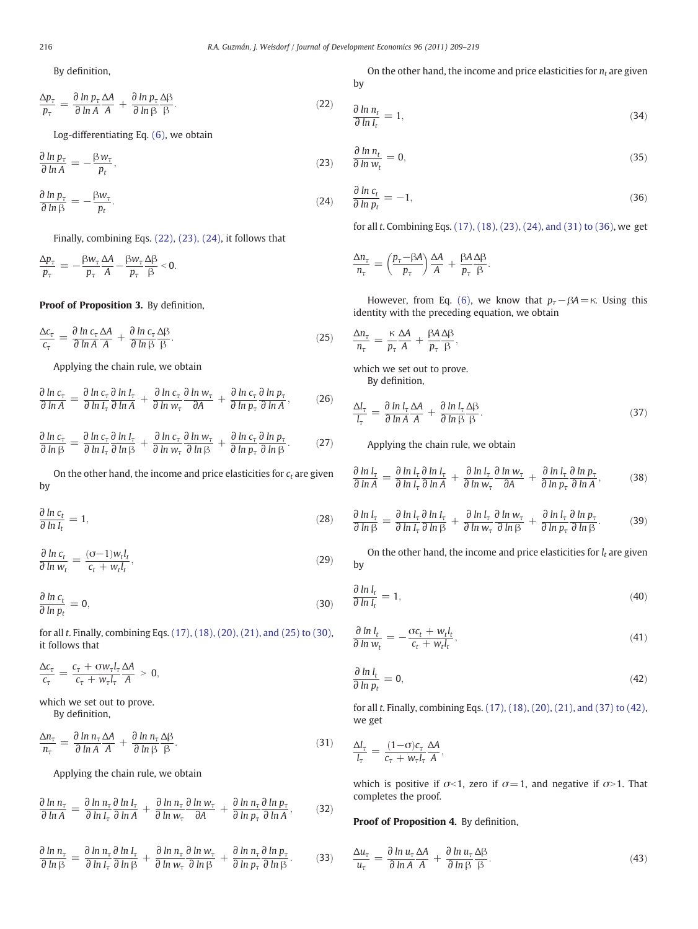By definition,

$$
\frac{\Delta p_{\tau}}{p_{\tau}} = \frac{\partial \ln p_{\tau}}{\partial \ln A} \frac{\Delta A}{A} + \frac{\partial \ln p_{\tau}}{\partial \ln \beta} \frac{\Delta \beta}{\beta}.
$$
 (22)

Log-differentiating Eq. (6), we obtain

$$
\frac{\partial \ln p_{\tau}}{\partial \ln A} = -\frac{\beta w_{\tau}}{p_t},\tag{23}
$$

$$
\frac{\partial \ln p_{\tau}}{\partial \ln \beta} = -\frac{\beta w_{\tau}}{p_t}.
$$
\n(24)

Finally, combining Eqs. (22), (23), (24), it follows that

$$
\frac{\Delta p_{\tau}}{p_{\tau}} = -\frac{\beta w_{\tau}}{p_{\tau}} \frac{\Delta A}{A} - \frac{\beta w_{\tau}}{p_{\tau}} \frac{\Delta \beta}{\beta} < 0.
$$

Proof of Proposition 3. By definition,

$$
\frac{\Delta c_{\tau}}{c_{\tau}} = \frac{\partial \ln c_{\tau}}{\partial \ln A} \frac{\Delta A}{A} + \frac{\partial \ln c_{\tau}}{\partial \ln \beta} \frac{\Delta \beta}{\beta}.
$$
\n(25)

Applying the chain rule, we obtain

$$
\frac{\partial \ln c_{\tau}}{\partial \ln A} = \frac{\partial \ln c_{\tau}}{\partial \ln I_{\tau}} \frac{\partial \ln I_{\tau}}{\partial \ln A} + \frac{\partial \ln c_{\tau}}{\partial \ln w_{\tau}} \frac{\partial \ln w_{\tau}}{\partial A} + \frac{\partial \ln c_{\tau}}{\partial \ln p_{\tau}} \frac{\partial \ln p_{\tau}}{\partial \ln A},
$$
(26)

$$
\frac{\partial \ln c_{\tau}}{\partial \ln \beta} = \frac{\partial \ln c_{\tau}}{\partial \ln l_{\tau}} \frac{\partial \ln l_{\tau}}{\partial \ln \beta} + \frac{\partial \ln c_{\tau}}{\partial \ln w_{\tau}} \frac{\partial \ln w_{\tau}}{\partial \ln \beta} + \frac{\partial \ln c_{\tau}}{\partial \ln p_{\tau}} \frac{\partial \ln p_{\tau}}{\partial \ln \beta}.
$$
 (27)

On the other hand, the income and price elasticities for  $c_t$  are given by

$$
\frac{\partial \ln c_t}{\partial \ln I_t} = 1,\tag{28}
$$

$$
\frac{\partial \ln c_t}{\partial \ln w_t} = \frac{(\sigma - 1)w_t l_t}{c_t + w_t l_t},\tag{29}
$$

$$
\frac{\partial \ln c_t}{\partial \ln p_t} = 0,\tag{30}
$$

for all t. Finally, combining Eqs. (17), (18), (20), (21), and (25) to (30), it follows that

$$
\frac{\Delta c_{\tau}}{c_{\tau}} = \frac{c_{\tau} + \sigma w_{\tau} l_{\tau}}{c_{\tau} + w_{\tau} l_{\tau}} \frac{\Delta A}{A} > 0,
$$

which we set out to prove. By definition,

$$
\frac{\Delta n_{\tau}}{n_{\tau}} = \frac{\partial \ln n_{\tau}}{\partial \ln A} \frac{\Delta A}{A} + \frac{\partial \ln n_{\tau}}{\partial \ln \beta} \frac{\Delta \beta}{\beta}.
$$
\n(31)

Applying the chain rule, we obtain

$$
\frac{\partial \ln n_{\tau}}{\partial \ln A} = \frac{\partial \ln n_{\tau}}{\partial \ln I_{\tau}} \frac{\partial \ln I_{\tau}}{\partial \ln A} + \frac{\partial \ln n_{\tau}}{\partial \ln w_{\tau}} \frac{\partial \ln w_{\tau}}{\partial A} + \frac{\partial \ln n_{\tau}}{\partial \ln p_{\tau}} \frac{\partial \ln p_{\tau}}{\partial \ln A},
$$
(32)

$$
\frac{\partial \ln n_{\tau}}{\partial \ln \beta} = \frac{\partial \ln n_{\tau}}{\partial \ln I_{\tau}} \frac{\partial \ln I_{\tau}}{\partial \ln \beta} + \frac{\partial \ln n_{\tau}}{\partial \ln w_{\tau}} \frac{\partial \ln w_{\tau}}{\partial \ln \beta} + \frac{\partial \ln n_{\tau}}{\partial \ln p_{\tau}} \frac{\partial \ln p_{\tau}}{\partial \ln \beta}.
$$
(33)

On the other hand, the income and price elasticities for  $n_t$  are given by

$$
\frac{\partial \ln n_t}{\partial \ln l_t} = 1,\tag{34}
$$

$$
\frac{\partial \ln n_t}{\partial \ln w_t} = 0,\tag{35}
$$

$$
\frac{\partial \ln c_t}{\partial \ln p_t} = -1,\tag{36}
$$

for all t. Combining Eqs. (17), (18), (23), (24), and (31) to (36), we get

$$
\frac{\Delta n_{\tau}}{n_{\tau}} = \left(\frac{p_{\tau}-\beta A}{p_{\tau}}\right)\frac{\Delta A}{A} + \frac{\beta A \Delta \beta}{p_{\tau}}.
$$

However, from Eq. (6), we know that  $p_\tau-\beta A=\kappa$ . Using this identity with the preceding equation, we obtain

$$
\frac{\Delta n_{\tau}}{n_{\tau}} = \frac{\kappa}{p_{\tau}} \frac{\Delta A}{A} + \frac{\beta A}{p_{\tau}} \frac{\Delta \beta}{\beta},
$$

which we set out to prove. By definition,

$$
\frac{\Delta l_{\tau}}{l_{\tau}} = \frac{\partial \ln l_{\tau}}{\partial \ln A} \frac{\Delta A}{A} + \frac{\partial \ln l_{\tau}}{\partial \ln \beta} \frac{\Delta \beta}{\beta}.
$$
\n(37)

Applying the chain rule, we obtain

$$
\frac{\partial \ln l_{\tau}}{\partial \ln A} = \frac{\partial \ln l_{\tau}}{\partial \ln l_{\tau}} \frac{\partial \ln l_{\tau}}{\partial \ln A} + \frac{\partial \ln l_{\tau}}{\partial \ln w_{\tau}} \frac{\partial \ln w_{\tau}}{\partial A} + \frac{\partial \ln l_{\tau}}{\partial \ln p_{\tau}} \frac{\partial \ln p_{\tau}}{\partial \ln A},
$$
(38)

$$
\frac{\partial \ln l_{\tau}}{\partial \ln \beta} = \frac{\partial \ln l_{\tau}}{\partial \ln l_{\tau}} \frac{\partial \ln l_{\tau}}{\partial \ln \beta} + \frac{\partial \ln l_{\tau}}{\partial \ln w_{\tau}} \frac{\partial \ln w_{\tau}}{\partial \ln \beta} + \frac{\partial \ln l_{\tau}}{\partial \ln p_{\tau}} \frac{\partial \ln p_{\tau}}{\partial \ln \beta}.
$$
(39)

On the other hand, the income and price elasticities for  $l_t$  are given by

$$
\frac{\partial \ln l_t}{\partial \ln l_t} = 1,\tag{40}
$$

$$
\frac{\partial \ln l_t}{\partial \ln w_t} = -\frac{\sigma c_t + w_t l_t}{c_t + w_t l_t},\tag{41}
$$

$$
\frac{\partial \ln l_t}{\partial \ln p_t} = 0,\tag{42}
$$

for all t. Finally, combining Eqs. (17), (18), (20), (21), and (37) to (42), we get

$$
\frac{\Delta l_{\tau}}{l_{\tau}} = \frac{(1-\sigma)c_{\tau}}{c_{\tau} + w_{\tau}l_{\tau}} \frac{\Delta A}{A},
$$

which is positive if  $\sigma$ <1, zero if  $\sigma$  = 1, and negative if  $\sigma$ >1. That completes the proof.

#### Proof of Proposition 4. By definition,

$$
\frac{\Delta u_{\tau}}{u_{\tau}} = \frac{\partial \ln u_{\tau}}{\partial \ln A} \frac{\Delta A}{A} + \frac{\partial \ln u_{\tau}}{\partial \ln \beta} \frac{\Delta \beta}{\beta}.
$$
\n(43)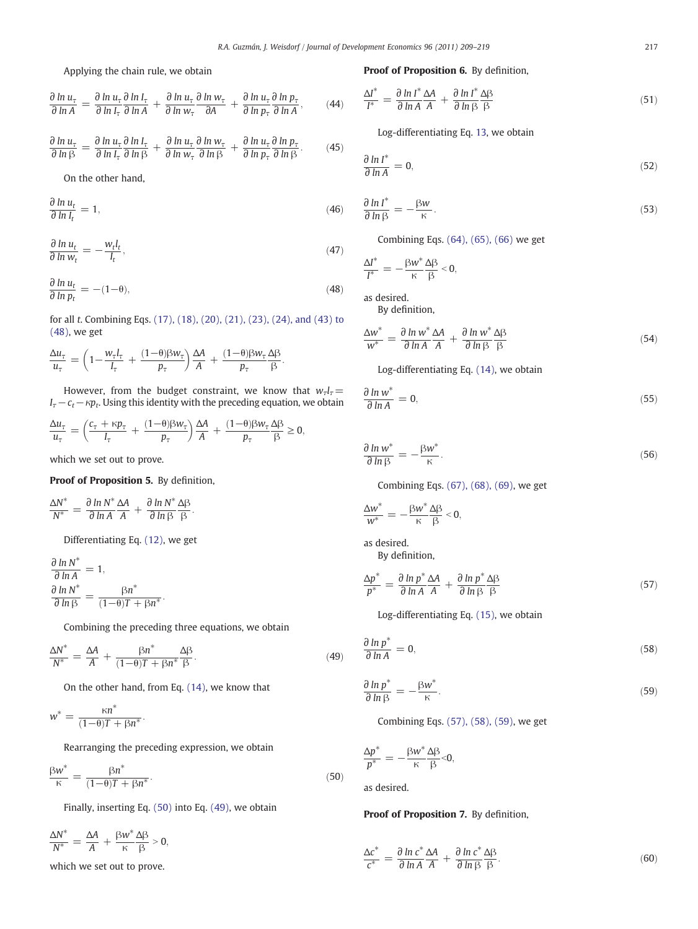Applying the chain rule, we obtain

$$
\frac{\partial \ln u_{\tau}}{\partial \ln A} = \frac{\partial \ln u_{\tau}}{\partial \ln I_{\tau}} \frac{\partial \ln I_{\tau}}{\partial \ln A} + \frac{\partial \ln u_{\tau}}{\partial \ln w_{\tau}} \frac{\partial \ln w_{\tau}}{\partial A} + \frac{\partial \ln u_{\tau}}{\partial \ln p_{\tau}} \frac{\partial \ln p_{\tau}}{\partial \ln A}, \tag{44}
$$

$$
\frac{\partial \ln u_{\tau}}{\partial \ln \beta} = \frac{\partial \ln u_{\tau}}{\partial \ln I_{\tau}} \frac{\partial \ln I_{\tau}}{\partial \ln \beta} + \frac{\partial \ln u_{\tau}}{\partial \ln w_{\tau}} \frac{\partial \ln w_{\tau}}{\partial \ln \beta} + \frac{\partial \ln u_{\tau}}{\partial \ln p_{\tau}} \frac{\partial \ln p_{\tau}}{\partial \ln \beta}.
$$
(45)

On the other hand,

$$
\frac{\partial \ln u_t}{\partial \ln I_t} = 1,\tag{46}
$$

$$
\frac{\partial \ln u_t}{\partial \ln w_t} = -\frac{w_t l_t}{l_t},\tag{47}
$$

$$
\frac{\partial \ln u_t}{\partial \ln p_t} = -(1 - \theta),\tag{48}
$$

for all t. Combining Eqs. (17), (18), (20), (21), (23), (24), and (43) to (48), we get

$$
\frac{\Delta u_{\tau}}{u_{\tau}} = \left(1 - \frac{w_{\tau}l_{\tau}}{l_{\tau}} + \frac{(1 - \theta)\beta w_{\tau}}{p_{\tau}}\right)\frac{\Delta A}{A} + \frac{(1 - \theta)\beta w_{\tau}}{p_{\tau}}\frac{\Delta \beta}{\beta}.
$$

However, from the budget constraint, we know that  $w_{\tau}l_{\tau}$ =  $I_{\tau}-c_t-\kappa p_t$ . Using this identity with the preceding equation, we obtain

$$
\frac{\Delta u_{\tau}}{u_{\tau}} = \left(\frac{c_{\tau} + \kappa p_{\tau}}{I_{\tau}} + \frac{(1-\theta)\beta w_{\tau}}{p_{\tau}}\right)\frac{\Delta A}{A} + \frac{(1-\theta)\beta w_{\tau}}{p_{\tau}}\frac{\Delta \beta}{\beta} \ge 0,
$$

which we set out to prove.

Proof of Proposition 5. By definition,

$$
\frac{\Delta N^*}{N^*} = \frac{\partial \ln N^*}{\partial \ln A} \frac{\Delta A}{A} + \frac{\partial \ln N^*}{\partial \ln \beta} \frac{\Delta \beta}{\beta}.
$$

Differentiating Eq. (12), we get

 $\frac{\partial \ln N^*}{\partial \ln A} = 1,$  $\frac{\partial \ln N^*}{\partial \ln \beta} = \frac{\beta n^*}{(1-\theta)T}$  $\frac{P}{(1-\theta)T + \beta n^*}$ 

Combining the preceding three equations, we obtain

$$
\frac{\Delta N^*}{N^*} = \frac{\Delta A}{A} + \frac{\beta n^*}{(1-\theta)T + \beta n^*} \frac{\Delta \beta}{\beta}.
$$
\n(49)

On the other hand, from Eq. (14), we know that

$$
w^* = \frac{\kappa n^*}{(1-\theta)T + \beta n^*}.
$$

Rearranging the preceding expression, we obtain

$$
\frac{\beta w^*}{\kappa} = \frac{\beta n^*}{(1-\theta)T + \beta n^*}.
$$
\n(50)

Finally, inserting Eq. (50) into Eq. (49), we obtain

 $\Delta N^*$  $\frac{\Delta N^*}{N^*} = \frac{\Delta A}{A} + \frac{\beta w^*}{\kappa}$ κ  $\frac{\Delta\beta}{\beta} > 0,$ 

which we set out to prove.

#### Proof of Proposition 6. By definition,

$$
\frac{\Delta I^*}{I^*} = \frac{\partial \ln I^*}{\partial \ln A} \frac{\Delta A}{A} + \frac{\partial \ln I^*}{\partial \ln \beta} \frac{\Delta \beta}{\beta} \tag{51}
$$

Log-differentiating Eq. 13, we obtain

$$
\frac{\partial \ln I^*}{\partial \ln A} = 0,\tag{52}
$$

$$
\frac{\partial \ln l^*}{\partial \ln \beta} = -\frac{\beta w}{\kappa}.
$$
\n(53)

Combining Eqs. (64), (65), (66) we get

$$
\frac{\Delta I^*}{I^*} = -\frac{\beta w^*}{\kappa} \frac{\Delta \beta}{\beta} < 0,
$$

as desired.

By definition,

$$
\frac{\Delta w^*}{w^*} = \frac{\partial \ln w^*}{\partial \ln A} \frac{\Delta A}{A} + \frac{\partial \ln w^*}{\partial \ln \beta} \frac{\Delta \beta}{\beta} \tag{54}
$$

Log-differentiating Eq. (14), we obtain

$$
\frac{\partial \ln w^*}{\partial \ln A} = 0, \tag{55}
$$

$$
\frac{\partial \ln w^*}{\partial \ln \beta} = -\frac{\beta w^*}{\kappa}.\tag{56}
$$

Combining Eqs. (67), (68), (69), we get

$$
\frac{\Delta w^*}{w^*} = -\frac{\beta w^*}{\kappa} \frac{\Delta \beta}{\beta} < 0,
$$

as desired. By definition,

$$
\frac{\Delta p^*}{p^*} = \frac{\partial \ln p^* \Delta A}{\partial \ln A A} + \frac{\partial \ln p^* \Delta \beta}{\partial \ln \beta \beta} \tag{57}
$$

Log-differentiating Eq. (15), we obtain

$$
\frac{\partial \ln p^*}{\partial \ln A} = 0,\tag{58}
$$

$$
\frac{\partial \ln p^*}{\partial \ln \beta} = -\frac{\beta w^*}{\kappa}.
$$
\n(59)

Combining Eqs. (57), (58), (59), we get

$$
\frac{\Delta p^*}{p^*} = -\frac{\beta w^*}{\kappa} \frac{\Delta \beta}{\beta} < 0,
$$

as desired.

#### Proof of Proposition 7. By definition,

$$
\frac{\Delta c^*}{c^*} = \frac{\partial \ln c^*}{\partial \ln A} \frac{\Delta A}{A} + \frac{\partial \ln c^*}{\partial \ln \beta} \frac{\Delta \beta}{\beta}.
$$
\n(60)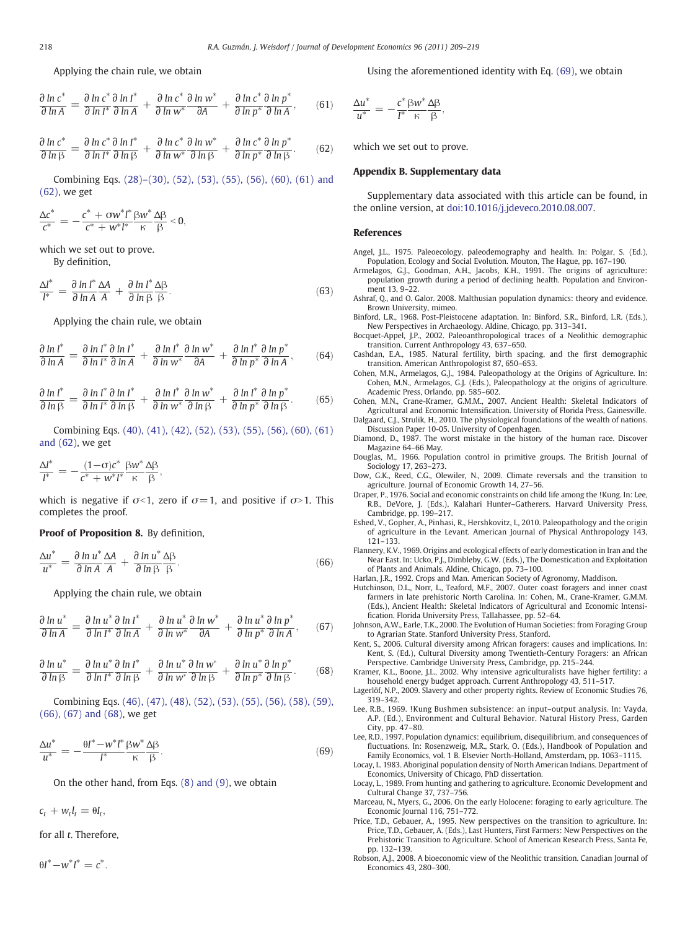<span id="page-9-0"></span>Applying the chain rule, we obtain

$$
\frac{\partial \ln c^*}{\partial \ln A} = \frac{\partial \ln c^*}{\partial \ln I^*} \frac{\partial \ln l^*}{\partial \ln A} + \frac{\partial \ln c^*}{\partial \ln w^*} \frac{\partial \ln w^*}{\partial A} + \frac{\partial \ln c^*}{\partial \ln p^*} \frac{\partial \ln p^*}{\partial \ln A}, \qquad (61)
$$

$$
\frac{\partial \ln c^*}{\partial \ln \beta} = \frac{\partial \ln c^*}{\partial \ln l^*} \frac{\partial \ln l^*}{\partial \ln \beta} + \frac{\partial \ln c^*}{\partial \ln w^*} \frac{\partial \ln w^*}{\partial \ln \beta} + \frac{\partial \ln c^*}{\partial \ln p^*} \frac{\partial \ln p^*}{\partial \ln \beta}.
$$
 (62)

Combining Eqs. (28)–(30), (52), (53), (55), (56), (60), (61) and (62), we get

<u>Δ</u>c<sup>\*</sup>  $\frac{\Delta c^*}{c^*} = -\frac{c^* + \sigma w^* l^*}{c^* + w^* l^*}$  $\frac{c^* + \sigma w^* l^*}{c^* + w^* l^*} \frac{\beta w^*}{\kappa}$ κ  $\frac{\Delta \beta}{\beta}$  < 0,

which we set out to prove. By definition,

$$
\frac{\Delta l^*}{l^*} = \frac{\partial \ln l^*}{\partial \ln A} \frac{\Delta A}{A} + \frac{\partial \ln l^*}{\partial \ln \beta} \frac{\Delta \beta}{\beta}.
$$
\n(63)

Applying the chain rule, we obtain

$$
\frac{\partial \ln l^*}{\partial \ln A} = \frac{\partial \ln l^*}{\partial \ln l^*} \frac{\partial \ln l^*}{\partial \ln A} + \frac{\partial \ln l^*}{\partial \ln w^*} \frac{\partial \ln w^*}{\partial A} + \frac{\partial \ln l^*}{\partial \ln p^*} \frac{\partial \ln l^*}{\partial \ln A}, \qquad (64)
$$

$$
\frac{\partial \ln l^*}{\partial \ln \beta} = \frac{\partial \ln l^*}{\partial \ln l^*} \frac{\partial \ln l^*}{\partial \ln \beta} + \frac{\partial \ln l^*}{\partial \ln w^*} \frac{\partial \ln w^*}{\partial \ln \beta} + \frac{\partial \ln l^*}{\partial \ln p^*} \frac{\partial \ln l^*}{\partial \ln p^*}.
$$
(65)

Combining Eqs. (40), (41), (42), (52), (53), (55), (56), (60), (61) and (62), we get

$$
\frac{\Delta l^*}{l^*} = -\frac{(1-\sigma)c^*}{c^* + w^*l^*} \frac{\beta w^*}{\kappa} \frac{\Delta \beta}{\beta},
$$

which is negative if  $\sigma$ <1, zero if  $\sigma$  = 1, and positive if  $\sigma$ >1. This completes the proof.

#### Proof of Proposition 8. By definition,

$$
\frac{\Delta u^*}{u^*} = \frac{\partial \ln u^*}{\partial \ln A} \frac{\Delta A}{A} + \frac{\partial \ln u^*}{\partial \ln \beta} \frac{\Delta \beta}{\beta}.
$$
 (66)

Applying the chain rule, we obtain

$$
\frac{\partial \ln u^*}{\partial \ln A} = \frac{\partial \ln u^*}{\partial \ln l^*} \frac{\partial \ln l^*}{\partial \ln A} + \frac{\partial \ln u^*}{\partial \ln w^*} \frac{\partial \ln w^*}{\partial A} + \frac{\partial \ln u^*}{\partial \ln p^*} \frac{\partial \ln p^*}{\partial \ln A}, \quad (67)
$$

$$
\frac{\partial \ln u^*}{\partial \ln \beta} = \frac{\partial \ln u^*}{\partial \ln l^*} \frac{\partial \ln l^*}{\partial \ln \beta} + \frac{\partial \ln u^*}{\partial \ln w^*} \frac{\partial \ln w^*}{\partial \ln \beta} + \frac{\partial \ln u^*}{\partial \ln p^*} \frac{\partial \ln v^*}{\partial \ln \beta}.
$$
 (68)

Combining Eqs. (46), (47), (48), (52), (53), (55), (56), (58), (59), (66), (67) and (68), we get

$$
\frac{\Delta u^*}{u^*} = -\frac{\theta I^* - w^* I^*}{I^*} \frac{\beta w^*}{\kappa} \frac{\Delta \beta}{\beta}.
$$
\n(69)

On the other hand, from Eqs. (8) and (9), we obtain

 $c_t + w_t l_t = \theta l_t,$ 

for all t. Therefore,

 $\theta I^* - w^* I^* = c^*.$ 

Using the aforementioned identity with Eq. (69), we obtain

$$
\frac{\Delta u^*}{u^*} = -\frac{c^*}{I^*} \frac{\beta w^*}{\kappa} \frac{\Delta \beta}{\beta},
$$

which we set out to prove.

### Appendix B. Supplementary data

Supplementary data associated with this article can be found, in the online version, at doi:[10.1016/j.jdeveco.2010.08.007](http://dx.doi.org/10.1016/j.jdeveco.2010.08.007).

#### References

- Angel, J.L., 1975. Paleoecology, paleodemography and health. In: Polgar, S. (Ed.), Population, Ecology and Social Evolution. Mouton, The Hague, pp. 167–190.
- Armelagos, G.J., Goodman, A.H., Jacobs, K.H., 1991. The origins of agriculture: population growth during a period of declining health. Population and Environment 13, 9–22.
- Ashraf, Q., and O. Galor. 2008. Malthusian population dynamics: theory and evidence. Brown University, mimeo.
- Binford, L.R., 1968. Post-Pleistocene adaptation. In: Binford, S.R., Binford, L.R. (Eds.), New Perspectives in Archaeology. Aldine, Chicago, pp. 313–341.
- Bocquet-Appel, J.P., 2002. Paleoanthropological traces of a Neolithic demographic transition. Current Anthropology 43, 637–650.
- Cashdan, E.A., 1985. Natural fertility, birth spacing, and the first demographic transition. American Anthropologist 87, 650–653.
- Cohen, M.N., Armelagos, G.J., 1984. Paleopathology at the Origins of Agriculture. In: Cohen, M.N., Armelagos, G.J. (Eds.), Paleopathology at the origins of agriculture. Academic Press, Orlando, pp. 585–602.
- Cohen, M.N., Crane-Kramer, G.M.M., 2007. Ancient Health: Skeletal Indicators of Agricultural and Economic Intensification. University of Florida Press, Gainesville.
- Dalgaard, C.J., Strulik, H., 2010. The physiological foundations of the wealth of nations. Discussion Paper 10-05. University of Copenhagen.
- Diamond, D., 1987. The worst mistake in the history of the human race. Discover Magazine 64–66 May.
- Douglas, M., 1966. Population control in primitive groups. The British Journal of Sociology 17, 263–273.
- Dow, G.K., Reed, C.G., Olewiler, N., 2009. Climate reversals and the transition to agriculture. Journal of Economic Growth 14, 27–56.
- Draper, P., 1976. Social and economic constraints on child life among the !Kung. In: Lee, R.B., DeVore, J. (Eds.), Kalahari Hunter–Gatherers. Harvard University Press, Cambridge, pp. 199–217.
- Eshed, V., Gopher, A., Pinhasi, R., Hershkovitz, I., 2010. Paleopathology and the origin of agriculture in the Levant. American Journal of Physical Anthropology 143, 121–133.
- Flannery, K.V., 1969. Origins and ecological effects of early domestication in Iran and the Near East. In: Ucko, P.J., Dimbleby, G.W. (Eds.), The Domestication and Exploitation of Plants and Animals. Aldine, Chicago, pp. 73–100.

Harlan, J.R., 1992. Crops and Man. American Society of Agronomy, Maddison.

- Hutchinson, D.L., Norr, L., Teaford, M.F., 2007. Outer coast foragers and inner coast farmers in late prehistoric North Carolina. In: Cohen, M., Crane-Kramer, G.M.M. (Eds.), Ancient Health: Skeletal Indicators of Agricultural and Economic Intensification. Florida University Press, Tallahassee, pp. 52–64.
- Johnson, A.W., Earle, T.K., 2000. The Evolution of Human Societies: from Foraging Group to Agrarian State. Stanford University Press, Stanford.
- Kent, S., 2006. Cultural diversity among African foragers: causes and implications. In: Kent, S. (Ed.), Cultural Diversity among Twentieth-Century Foragers: an African Perspective. Cambridge University Press, Cambridge, pp. 215–244.
- Kramer, K.L., Boone, J.L., 2002. Why intensive agriculturalists have higher fertility: a household energy budget approach. Current Anthropology 43, 511–517.
- Lagerlöf, N.P., 2009. Slavery and other property rights. Review of Economic Studies 76, 319–342.
- Lee, R.B., 1969. !Kung Bushmen subsistence: an input–output analysis. In: Vayda, A.P. (Ed.), Environment and Cultural Behavior. Natural History Press, Garden City, pp. 47–80.
- Lee, R.D., 1997. Population dynamics: equilibrium, disequilibrium, and consequences of fluctuations. In: Rosenzweig, M.R., Stark, O. (Eds.), Handbook of Population and Family Economics, vol. 1 B. Elsevier North-Holland, Amsterdam, pp. 1063–1115.
- Locay, L. 1983. Aboriginal population density of North American Indians. Department of Economics, University of Chicago, PhD dissertation.
- Locay, L., 1989. From hunting and gathering to agriculture. Economic Development and Cultural Change 37, 737–756.
- Marceau, N., Myers, G., 2006. On the early Holocene: foraging to early agriculture. The Economic Journal 116, 751–772.
- Price, T.D., Gebauer, A., 1995. New perspectives on the transition to agriculture. In: Price, T.D., Gebauer, A. (Eds.), Last Hunters, First Farmers: New Perspectives on the Prehistoric Transition to Agriculture. School of American Research Press, Santa Fe, pp. 132–139.
- Robson, A.J., 2008. A bioeconomic view of the Neolithic transition. Canadian Journal of Economics 43, 280–300.